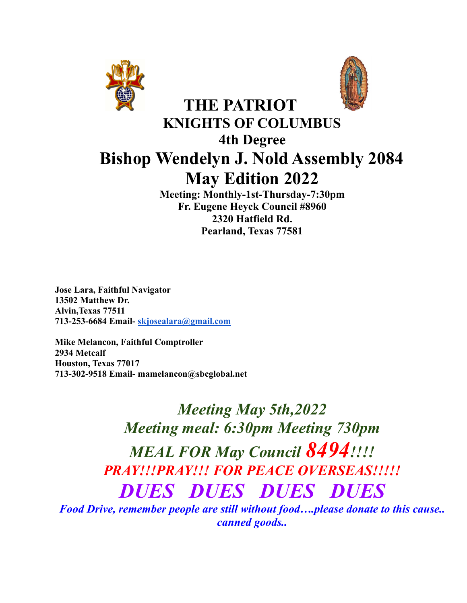



# **THE PATRIOT KNIGHTS OF COLUMBUS 4th Degree Bishop Wendelyn J. Nold Assembly 2084 May Edition 2022**

**Meeting: Monthly-1st-Thursday-7:30pm Fr. Eugene Heyck Council #8960 2320 Hatfield Rd. Pearland, Texas 77581**

**Jose Lara, Faithful Navigator 13502 Matthew Dr. Alvin,Texas 77511 713-253-6684 Email- [skjosealara@gmail.com](mailto:skjosealara@gmail.com)**

**Mike Melancon, Faithful Comptroller 2934 Metcalf Houston, Texas 77017 713-302-9518 Email- mamelancon@sbcglobal.net**

> *Meeting May 5th,2022 Meeting meal: 6:30pm Meeting 730pm MEAL FOR May Council 8494!!!! PRAY!!!PRAY!!! FOR PEACE OVERSEAS!!!!! DUES DUES DUES DUES*

*Food Drive, remember people are still without food….please donate to this cause.. canned goods..*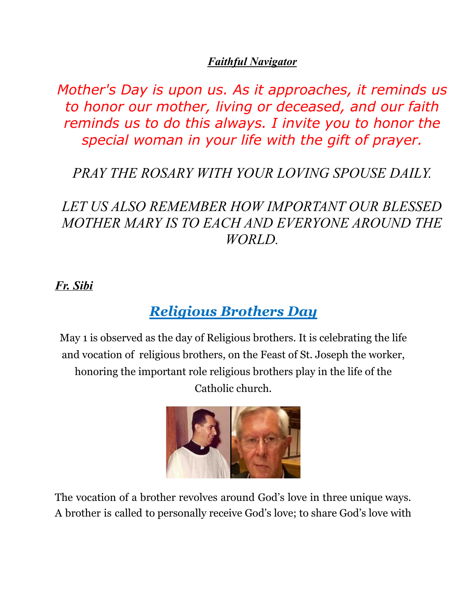#### *Faithful Navigator*

*Mother's Day is upon us. As it approaches, it reminds us to honor our mother, living or deceased, and our faith reminds us to do this always. I invite you to honor the special woman in your life with the gift of prayer.*

# *PRAY THE ROSARY WITH YOUR LOVING SPOUSE DAILY.*

# *LET US ALSO REMEMBER HOW IMPORTANT OUR BLESSED MOTHER MARY IS TO EACH AND EVERYONE AROUND THE WORLD.*

#### *Fr. Sibi*

# *Religious Brothers Day*

May 1 is observed as the day of Religious brothers. It is celebrating the life and vocation of religious brothers, on the Feast of St. Joseph the worker, honoring the important role religious brothers play in the life of the Catholic church.



The vocation of a brother revolves around God's love in three unique ways. A brother is called to personally receive God's love; to share God's love with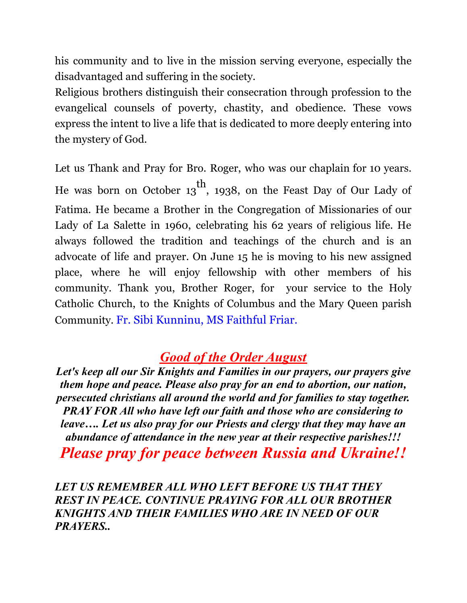his community and to live in the mission serving everyone, especially the disadvantaged and suffering in the society.

Religious brothers distinguish their consecration through profession to the evangelical counsels of poverty, chastity, and obedience. These vows express the intent to live a life that is dedicated to more deeply entering into the mystery of God.

Let us Thank and Pray for Bro. Roger, who was our chaplain for 10 years. He was born on October 13 th , 1938, on the Feast Day of Our Lady of Fatima. He became a Brother in the Congregation of Missionaries of our Lady of La Salette in 1960, celebrating his 62 years of religious life. He always followed the tradition and teachings of the church and is an advocate of life and prayer. On June 15 he is moving to his new assigned place, where he will enjoy fellowship with other members of his community. Thank you, Brother Roger, for your service to the Holy Catholic Church, to the Knights of Columbus and the Mary Queen parish Community. Fr. Sibi Kunninu, MS Faithful Friar.

# *Good of the Order August*

*Let's keep all our Sir Knights and Families in our prayers, our prayers give them hope and peace. Please also pray for an end to abortion, our nation, persecuted christians all around the world and for families to stay together. PRAY FOR All who have left our faith and those who are considering to leave…. Let us also pray for our Priests and clergy that they may have an abundance of attendance in the new year at their respective parishes!!! Please pray for peace between Russia and Ukraine!!*

#### *LET US REMEMBER ALL WHO LEFT BEFORE US THAT THEY REST IN PEACE. CONTINUE PRAYING FOR ALL OUR BROTHER KNIGHTS AND THEIR FAMILIES WHO ARE IN NEED OF OUR PRAYERS..*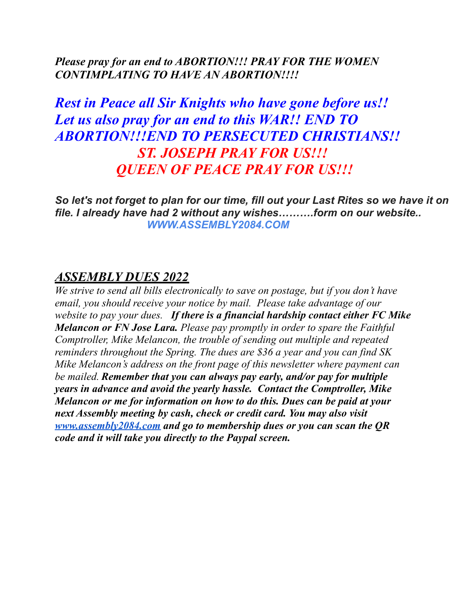#### *Please pray for an end to ABORTION!!! PRAY FOR THE WOMEN CONTIMPLATING TO HAVE AN ABORTION!!!!*

# *Rest in Peace all Sir Knights who have gone before us!! Let us also pray for an end to this WAR!! END TO ABORTION!!!END TO PERSECUTED CHRISTIANS!! ST. JOSEPH PRAY FOR US!!! QUEEN OF PEACE PRAY FOR US!!!*

*So let's not forget to plan for our time, fill out your Last Rites so we have it on file. I already have had 2 without any wishes……….form on our website.. WWW.ASSEMBLY2084.COM*

### *ASSEMBLY DUES 2022*

*We strive to send all bills electronically to save on postage, but if you don't have email, you should receive your notice by mail. Please take advantage of our website to pay your dues. If there is a financial hardship contact either FC Mike Melancon or FN Jose Lara. Please pay promptly in order to spare the Faithful Comptroller, Mike Melancon, the trouble of sending out multiple and repeated reminders throughout the Spring. The dues are \$36 a year and you can find SK Mike Melancon's address on the front page of this newsletter where payment can be mailed. Remember that you can always pay early, and/or pay for multiple years in advance and avoid the yearly hassle. Contact the Comptroller, Mike Melancon or me for information on how to do this. Dues can be paid at your next Assembly meeting by cash, check or credit card. You may also visit [www.assembly2084.com](http://www.assembly2084.com) and go to membership dues or you can scan the QR code and it will take you directly to the Paypal screen.*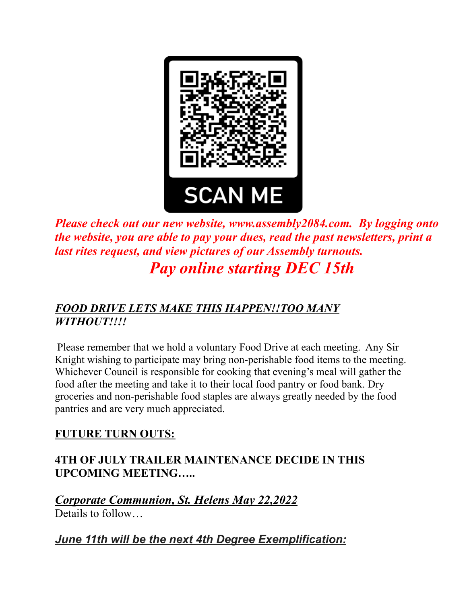

*Please check out our new website, www.assembly2084.com. By logging onto the website, you are able to pay your dues, read the past newsletters, print a last rites request, and view pictures of our Assembly turnouts. Pay online starting DEC 15th*

### *FOOD DRIVE LETS MAKE THIS HAPPEN!!TOO MANY WITHOUT!!!!*

Please remember that we hold a voluntary Food Drive at each meeting. Any Sir Knight wishing to participate may bring non-perishable food items to the meeting. Whichever Council is responsible for cooking that evening's meal will gather the food after the meeting and take it to their local food pantry or food bank. Dry groceries and non-perishable food staples are always greatly needed by the food pantries and are very much appreciated.

#### **FUTURE TURN OUTS:**

#### **4TH OF JULY TRAILER MAINTENANCE DECIDE IN THIS UPCOMING MEETING…..**

*Corporate Communion, St. Helens May 22,2022* Details to follow…

*June 11th will be the next 4th Degree Exemplification:*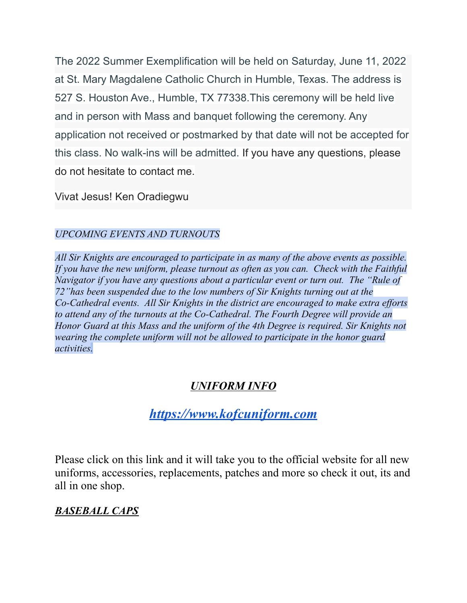The 2022 Summer Exemplification will be held on Saturday, June 11, 2022 at St. Mary Magdalene Catholic Church in Humble, Texas. The address is 527 S. Houston Ave., Humble, TX 77338.This ceremony will be held live and in person with Mass and banquet following the ceremony. Any application not received or postmarked by that date will not be accepted for this class. No walk-ins will be admitted. If you have any questions, please do not hesitate to contact me.

Vivat Jesus! Ken Oradiegwu

#### *UPCOMING EVENTS AND TURNOUTS*

*All Sir Knights are encouraged to participate in as many of the above events as possible. If you have the new uniform, please turnout as often as you can. Check with the Faithful Navigator if you have any questions about a particular event or turn out. The "Rule of 72"has been suspended due to the low numbers of Sir Knights turning out at the Co-Cathedral events. All Sir Knights in the district are encouraged to make extra ef orts to attend any of the turnouts at the Co-Cathedral. The Fourth Degree will provide an Honor Guard at this Mass and the uniform of the 4th Degree is required. Sir Knights not wearing the complete uniform will not be allowed to participate in the honor guard activities.*

## *UNIFORM INFO*

## *[https://www.kofcuniform.com](https://www.kofcuniform.com/uniform-packages/package/knights-of-columbus-executive-fit-uniform-package-uniform-package/)*

Please click on this link and it will take you to the official website for all new uniforms, accessories, replacements, patches and more so check it out, its and all in one shop.

#### *BASEBALL CAPS*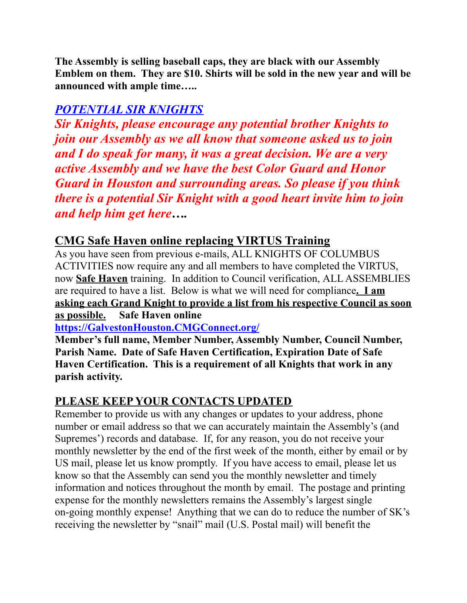**The Assembly is selling baseball caps, they are black with our Assembly Emblem on them. They are \$10. Shirts will be sold in the new year and will be announced with ample time…..**

## *POTENTIAL SIR KNIGHTS*

*Sir Knights, please encourage any potential brother Knights to join our Assembly as we all know that someone asked us to join and I do speak for many, it was a great decision. We are a very active Assembly and we have the best Color Guard and Honor Guard in Houston and surrounding areas. So please if you think there is a potential Sir Knight with a good heart invite him to join and help him get here….*

### **CMG Safe Haven online replacing VIRTUS Training**

As you have seen from previous e-mails, ALL KNIGHTS OF COLUMBUS ACTIVITIES now require any and all members to have completed the VIRTUS, now **Safe Haven** training. In addition to Council verification, ALL ASSEMBLIES are required to have a list. Below is what we will need for compliance**. I am asking each Grand Knight to provide a list from his respective Council as soon as possible. Safe Haven online**

**[https://GalvestonHouston.CMGConnect.org/](https://galvestonhouston.cmgconnect.org/)**

**Member's full name, Member Number, Assembly Number, Council Number, Parish Name. Date of Safe Haven Certification, Expiration Date of Safe Haven Certification. This is a requirement of all Knights that work in any parish activity.**

#### **PLEASE KEEP YOUR CONTACTS UPDATED**

Remember to provide us with any changes or updates to your address, phone number or email address so that we can accurately maintain the Assembly's (and Supremes') records and database. If, for any reason, you do not receive your monthly newsletter by the end of the first week of the month, either by email or by US mail, please let us know promptly. If you have access to email, please let us know so that the Assembly can send you the monthly newsletter and timely information and notices throughout the month by email. The postage and printing expense for the monthly newsletters remains the Assembly's largest single on-going monthly expense! Anything that we can do to reduce the number of SK's receiving the newsletter by "snail" mail (U.S. Postal mail) will benefit the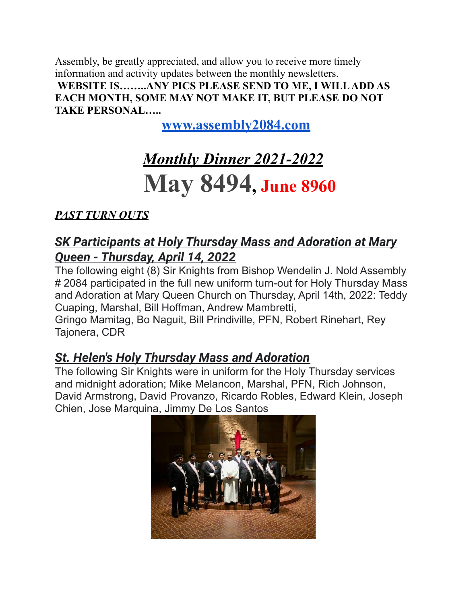Assembly, be greatly appreciated, and allow you to receive more timely information and activity updates between the monthly newsletters. **WEBSITE IS……..ANY PICS PLEASE SEND TO ME, I WILLADD AS EACH MONTH, SOME MAY NOT MAKE IT, BUT PLEASE DO NOT TAKE PERSONAL…..**

**[www.assembly2084.com](http://www.assembly2084.com)**

# *Monthly Dinner 2021-2022* **May 8494, June <sup>8960</sup>**

## *PAST TURN OUTS*

## *SK Participants at Holy Thursday Mass and Adoration at Mary Queen - Thursday, April 14, 2022*

The following eight (8) Sir Knights from Bishop Wendelin J. Nold Assembly # 2084 participated in the full new uniform turn-out for Holy Thursday Mass and Adoration at Mary Queen Church on Thursday, April 14th, 2022: Teddy Cuaping, Marshal, Bill Hoffman, Andrew Mambretti,

Gringo Mamitag, Bo Naguit, Bill Prindiville, PFN, Robert Rinehart, Rey Tajonera, CDR

## *St. Helen's Holy Thursday Mass and Adoration*

The following Sir Knights were in uniform for the Holy Thursday services and midnight adoration; Mike Melancon, Marshal, PFN, Rich Johnson, David Armstrong, David Provanzo, Ricardo Robles, Edward Klein, Joseph Chien, Jose Marquina, Jimmy De Los Santos

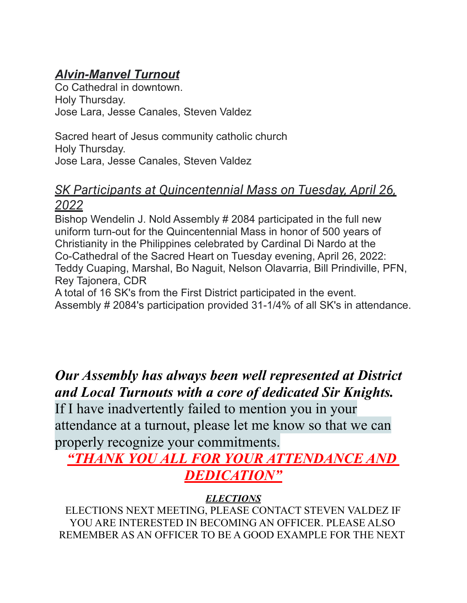# *Alvin-Manvel Turnout*

Co Cathedral in downtown. Holy Thursday. Jose Lara, Jesse Canales, Steven Valdez

Sacred heart of Jesus community catholic church Holy Thursday. Jose Lara, Jesse Canales, Steven Valdez

## *SK Participants at Quincentennial Mass on Tuesday, April 26, 2022*

Bishop Wendelin J. Nold Assembly # 2084 participated in the full new uniform turn-out for the Quincentennial Mass in honor of 500 years of Christianity in the Philippines celebrated by Cardinal Di Nardo at the Co-Cathedral of the Sacred Heart on Tuesday evening, April 26, 2022: Teddy Cuaping, Marshal, Bo Naguit, Nelson Olavarria, Bill Prindiville, PFN, Rey Tajonera, CDR

A total of 16 SK's from the First District participated in the event. Assembly # 2084's participation provided 31-1/4% of all SK's in attendance.

*Our Assembly has always been well represented at District and Local Turnouts with a core of dedicated Sir Knights.*

If I have inadvertently failed to mention you in your attendance at a turnout, please let me know so that we can properly recognize your commitments.

# *"THANK YOU ALL FOR YOUR ATTENDANCE AND DEDICATION"*

## *ELECTIONS*

ELECTIONS NEXT MEETING, PLEASE CONTACT STEVEN VALDEZ IF YOU ARE INTERESTED IN BECOMING AN OFFICER. PLEASE ALSO REMEMBER AS AN OFFICER TO BE A GOOD EXAMPLE FOR THE NEXT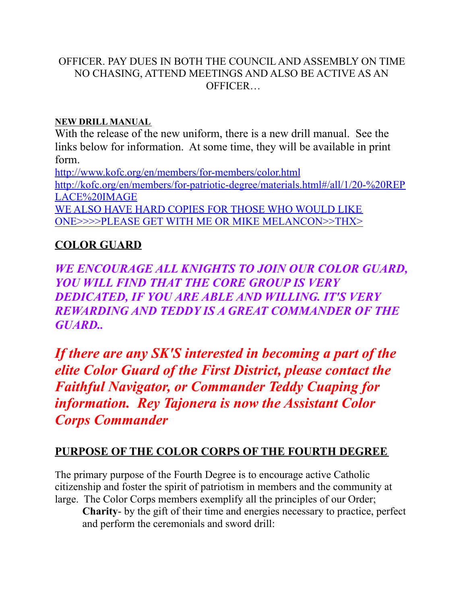#### OFFICER. PAY DUES IN BOTH THE COUNCIL AND ASSEMBLY ON TIME NO CHASING, ATTEND MEETINGS AND ALSO BE ACTIVE AS AN **OFFICER**

#### **NEW DRILL MANUAL**

With the release of the new uniform, there is a new drill manual. See the links below for information. At some time, they will be available in print form.

<http://www.kofc.org/en/members/for-members/color.html> [http://kofc.org/en/members/for-patriotic-degree/materials.html#/all/1/20-%20REP](http://kofc.org/en/members/for-patriotic-degree/materials.html#/all/1/20-%20REPLACE%20IMAGE) [LACE%20IMAGE](http://kofc.org/en/members/for-patriotic-degree/materials.html#/all/1/20-%20REPLACE%20IMAGE) WE ALSO HAVE HARD COPIES FOR THOSE WHO WOULD LIKE

ONE>>>>PLEASE GET WITH ME OR MIKE MELANCON>>THX>

### **COLOR GUARD**

*WE ENCOURAGE ALL KNIGHTS TO JOIN OUR COLOR GUARD, YOU WILL FIND THAT THE CORE GROUP IS VERY DEDICATED, IF YOU ARE ABLE AND WILLING. IT'S VERY REWARDING AND TEDDY IS A GREAT COMMANDER OF THE GUARD..*

*If there are any SK'S interested in becoming a part of the elite Color Guard of the First District, please contact the Faithful Navigator, or Commander Teddy Cuaping for information. Rey Tajonera is now the Assistant Color Corps Commander*

#### **PURPOSE OF THE COLOR CORPS OF THE FOURTH DEGREE**

The primary purpose of the Fourth Degree is to encourage active Catholic citizenship and foster the spirit of patriotism in members and the community at large. The Color Corps members exemplify all the principles of our Order;

**Charity**- by the gift of their time and energies necessary to practice, perfect and perform the ceremonials and sword drill: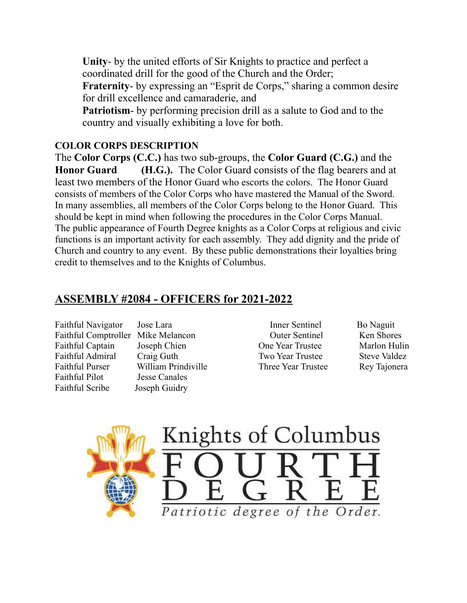**Unity**- by the united efforts of Sir Knights to practice and perfect a coordinated drill for the good of the Church and the Order; **Fraternity**- by expressing an "Esprit de Corps," sharing a common desire for drill excellence and camaraderie, and **Patriotism**- by performing precision drill as a salute to God and to the country and visually exhibiting a love for both.

#### **COLOR CORPS DESCRIPTION**

The **Color Corps (C.C.)** has two sub-groups, the **Color Guard (C.G.)** and the **Honor Guard (H.G.).** The Color Guard consists of the flag bearers and at least two members of the Honor Guard who escorts the colors. The Honor Guard consists of members of the Color Corps who have mastered the Manual of the Sword. In many assemblies, all members of the Color Corps belong to the Honor Guard. This should be kept in mind when following the procedures in the Color Corps Manual. The public appearance of Fourth Degree knights as a Color Corps at religious and civic functions is an important activity for each assembly. They add dignity and the pride of Church and country to any event. By these public demonstrations their loyalties bring credit to themselves and to the Knights of Columbus.

#### **ASSEMBLY #2084 - OFFICERS for 2021-2022**

Faithful Navigator Jose Lara **Inner Sentinel** Bo Naguit Faithful Comptroller Mike Melancon Outer Sentinel Ken Shores Faithful Captain Joseph Chien One Year Trustee Marlon Hulin Faithful Admiral Craig Guth Two Year Trustee Steve Valdez Faithful Purser William Prindiville Three Year Trustee Rey Tajonera Faithful Pilot Jesse Canales Faithful Scribe Joseph Guidry